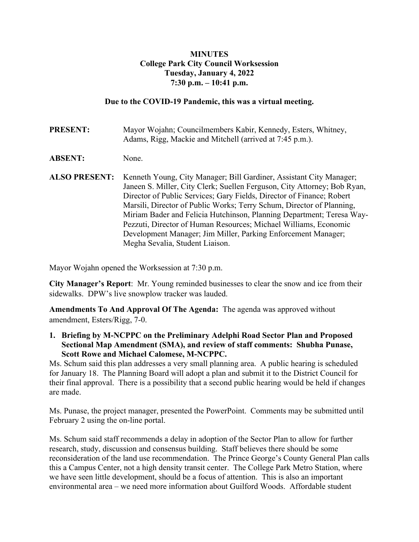## **MINUTES College Park City Council Worksession Tuesday, January 4, 2022 7:30 p.m. – 10:41 p.m.**

#### **Due to the COVID-19 Pandemic, this was a virtual meeting.**

**PRESENT:** Mayor Wojahn; Councilmembers Kabir, Kennedy, Esters, Whitney, Adams, Rigg, Mackie and Mitchell (arrived at 7:45 p.m.).

- **ABSENT:** None.
- **ALSO PRESENT:** Kenneth Young, City Manager; Bill Gardiner, Assistant City Manager; Janeen S. Miller, City Clerk; Suellen Ferguson, City Attorney; Bob Ryan, Director of Public Services; Gary Fields, Director of Finance; Robert Marsili, Director of Public Works; Terry Schum, Director of Planning, Miriam Bader and Felicia Hutchinson, Planning Department; Teresa Way-Pezzuti, Director of Human Resources; Michael Williams, Economic Development Manager; Jim Miller, Parking Enforcement Manager; Megha Sevalia, Student Liaison.

Mayor Wojahn opened the Worksession at 7:30 p.m.

**City Manager's Report:** Mr. Young reminded businesses to clear the snow and ice from their sidewalks. DPW's live snowplow tracker was lauded.

**Amendments To And Approval Of The Agenda:** The agenda was approved without amendment, Esters/Rigg, 7-0.

**1. Briefing by M-NCPPC on the Preliminary Adelphi Road Sector Plan and Proposed Sectional Map Amendment (SMA), and review of staff comments: Shubha Punase, Scott Rowe and Michael Calomese, M-NCPPC.** 

Ms. Schum said this plan addresses a very small planning area. A public hearing is scheduled for January 18. The Planning Board will adopt a plan and submit it to the District Council for their final approval. There is a possibility that a second public hearing would be held if changes are made.

Ms. Punase, the project manager, presented the PowerPoint. Comments may be submitted until February 2 using the on-line portal.

Ms. Schum said staff recommends a delay in adoption of the Sector Plan to allow for further research, study, discussion and consensus building. Staff believes there should be some reconsideration of the land use recommendation. The Prince George's County General Plan calls this a Campus Center, not a high density transit center. The College Park Metro Station, where we have seen little development, should be a focus of attention. This is also an important environmental area – we need more information about Guilford Woods. Affordable student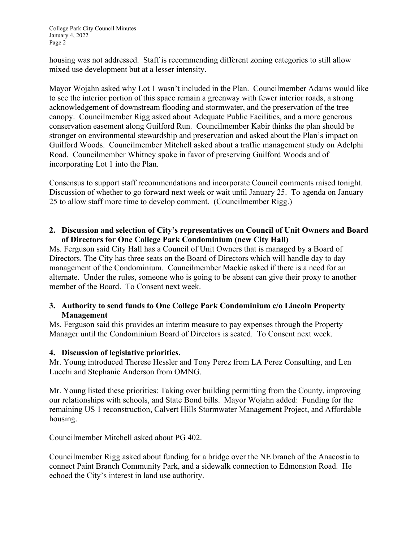housing was not addressed. Staff is recommending different zoning categories to still allow mixed use development but at a lesser intensity.

Mayor Wojahn asked why Lot 1 wasn't included in the Plan. Councilmember Adams would like to see the interior portion of this space remain a greenway with fewer interior roads, a strong acknowledgement of downstream flooding and stormwater, and the preservation of the tree canopy. Councilmember Rigg asked about Adequate Public Facilities, and a more generous conservation easement along Guilford Run. Councilmember Kabir thinks the plan should be stronger on environmental stewardship and preservation and asked about the Plan's impact on Guilford Woods. Councilmember Mitchell asked about a traffic management study on Adelphi Road. Councilmember Whitney spoke in favor of preserving Guilford Woods and of incorporating Lot 1 into the Plan.

Consensus to support staff recommendations and incorporate Council comments raised tonight. Discussion of whether to go forward next week or wait until January 25. To agenda on January 25 to allow staff more time to develop comment. (Councilmember Rigg.)

## **2. Discussion and selection of City's representatives on Council of Unit Owners and Board of Directors for One College Park Condominium (new City Hall)**

Ms. Ferguson said City Hall has a Council of Unit Owners that is managed by a Board of Directors. The City has three seats on the Board of Directors which will handle day to day management of the Condominium. Councilmember Mackie asked if there is a need for an alternate. Under the rules, someone who is going to be absent can give their proxy to another member of the Board. To Consent next week.

#### **3. Authority to send funds to One College Park Condominium c/o Lincoln Property Management**

Ms. Ferguson said this provides an interim measure to pay expenses through the Property Manager until the Condominium Board of Directors is seated. To Consent next week.

## **4. Discussion of legislative priorities.**

Mr. Young introduced Therese Hessler and Tony Perez from LA Perez Consulting, and Len Lucchi and Stephanie Anderson from OMNG.

Mr. Young listed these priorities: Taking over building permitting from the County, improving our relationships with schools, and State Bond bills. Mayor Wojahn added: Funding for the remaining US 1 reconstruction, Calvert Hills Stormwater Management Project, and Affordable housing.

Councilmember Mitchell asked about PG 402.

Councilmember Rigg asked about funding for a bridge over the NE branch of the Anacostia to connect Paint Branch Community Park, and a sidewalk connection to Edmonston Road. He echoed the City's interest in land use authority.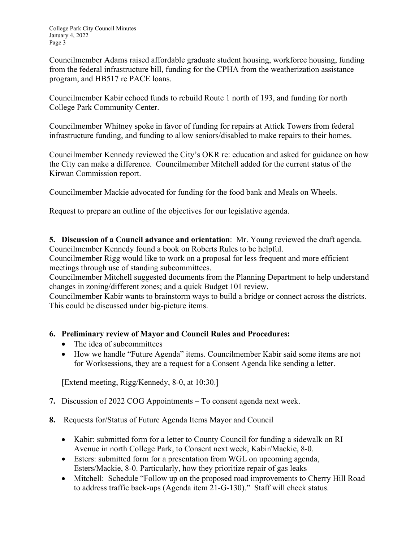Councilmember Adams raised affordable graduate student housing, workforce housing, funding from the federal infrastructure bill, funding for the CPHA from the weatherization assistance program, and HB517 re PACE loans.

Councilmember Kabir echoed funds to rebuild Route 1 north of 193, and funding for north College Park Community Center.

Councilmember Whitney spoke in favor of funding for repairs at Attick Towers from federal infrastructure funding, and funding to allow seniors/disabled to make repairs to their homes.

Councilmember Kennedy reviewed the City's OKR re: education and asked for guidance on how the City can make a difference. Councilmember Mitchell added for the current status of the Kirwan Commission report.

Councilmember Mackie advocated for funding for the food bank and Meals on Wheels.

Request to prepare an outline of the objectives for our legislative agenda.

**5. Discussion of a Council advance and orientation**: Mr. Young reviewed the draft agenda. Councilmember Kennedy found a book on Roberts Rules to be helpful.

Councilmember Rigg would like to work on a proposal for less frequent and more efficient meetings through use of standing subcommittees.

Councilmember Mitchell suggested documents from the Planning Department to help understand changes in zoning/different zones; and a quick Budget 101 review.

Councilmember Kabir wants to brainstorm ways to build a bridge or connect across the districts. This could be discussed under big-picture items.

# **6. Preliminary review of Mayor and Council Rules and Procedures:**

- The idea of subcommittees
- How we handle "Future Agenda" items. Councilmember Kabir said some items are not for Worksessions, they are a request for a Consent Agenda like sending a letter.

[Extend meeting, Rigg/Kennedy, 8-0, at 10:30.]

- **7.** Discussion of 2022 COG Appointments To consent agenda next week.
- **8.** Requests for/Status of Future Agenda Items Mayor and Council
	- Kabir: submitted form for a letter to County Council for funding a sidewalk on RI Avenue in north College Park, to Consent next week, Kabir/Mackie, 8-0.
	- Esters: submitted form for a presentation from WGL on upcoming agenda, Esters/Mackie, 8-0. Particularly, how they prioritize repair of gas leaks
	- Mitchell: Schedule "Follow up on the proposed road improvements to Cherry Hill Road to address traffic back-ups (Agenda item 21-G-130)." Staff will check status.